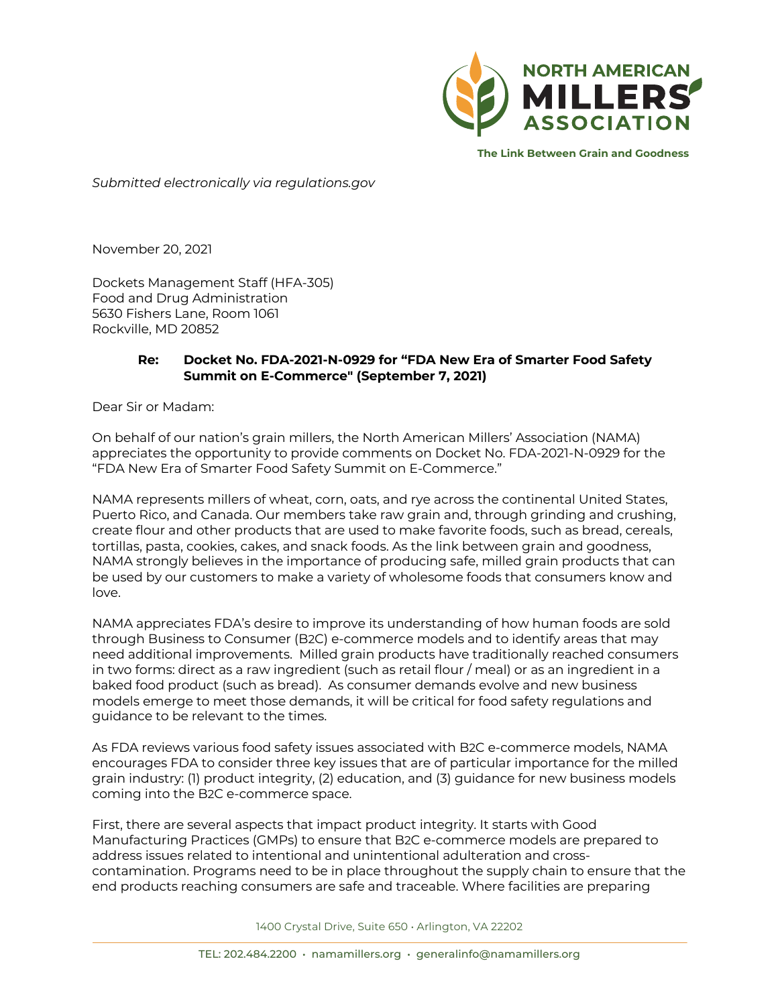

**The Link Between Grain and Goodness**

*Submitted electronically via regulations.gov*

November 20, 2021

Dockets Management Staff (HFA-305) Food and Drug Administration 5630 Fishers Lane, Room 1061 Rockville, MD 20852

## **Re: Docket No. FDA-2021-N-0929 for "FDA New Era of Smarter Food Safety Summit on E-Commerce" (September 7, 2021)**

Dear Sir or Madam:

On behalf of our nation's grain millers, the North American Millers' Association (NAMA) appreciates the opportunity to provide comments on Docket No. FDA-2021-N-0929 for the "FDA New Era of Smarter Food Safety Summit on E-Commerce."

NAMA represents millers of wheat, corn, oats, and rye across the continental United States, Puerto Rico, and Canada. Our members take raw grain and, through grinding and crushing, create flour and other products that are used to make favorite foods, such as bread, cereals, tortillas, pasta, cookies, cakes, and snack foods. As the link between grain and goodness, NAMA strongly believes in the importance of producing safe, milled grain products that can be used by our customers to make a variety of wholesome foods that consumers know and love.

NAMA appreciates FDA's desire to improve its understanding of how human foods are sold through Business to Consumer (B2C) e-commerce models and to identify areas that may need additional improvements. Milled grain products have traditionally reached consumers in two forms: direct as a raw ingredient (such as retail flour / meal) or as an ingredient in a baked food product (such as bread). As consumer demands evolve and new business models emerge to meet those demands, it will be critical for food safety regulations and guidance to be relevant to the times.

As FDA reviews various food safety issues associated with B2C e-commerce models, NAMA encourages FDA to consider three key issues that are of particular importance for the milled grain industry: (1) product integrity, (2) education, and (3) guidance for new business models coming into the B2C e-commerce space.

First, there are several aspects that impact product integrity. It starts with Good Manufacturing Practices (GMPs) to ensure that B2C e-commerce models are prepared to address issues related to intentional and unintentional adulteration and crosscontamination. Programs need to be in place throughout the supply chain to ensure that the end products reaching consumers are safe and traceable. Where facilities are preparing

1400 Crystal Drive, Suite 650 • Arlington, VA 22202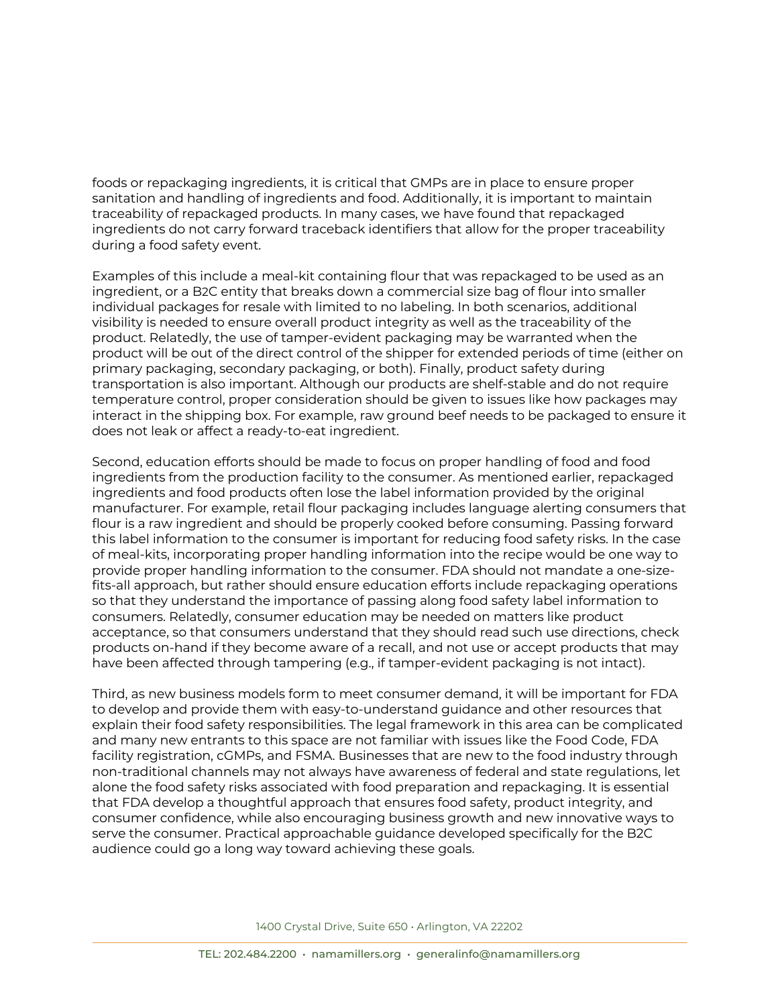foods or repackaging ingredients, it is critical that GMPs are in place to ensure proper sanitation and handling of ingredients and food. Additionally, it is important to maintain traceability of repackaged products. In many cases, we have found that repackaged ingredients do not carry forward traceback identifiers that allow for the proper traceability during a food safety event.

Examples of this include a meal-kit containing flour that was repackaged to be used as an ingredient, or a B2C entity that breaks down a commercial size bag of flour into smaller individual packages for resale with limited to no labeling. In both scenarios, additional visibility is needed to ensure overall product integrity as well as the traceability of the product. Relatedly, the use of tamper-evident packaging may be warranted when the product will be out of the direct control of the shipper for extended periods of time (either on primary packaging, secondary packaging, or both). Finally, product safety during transportation is also important. Although our products are shelf-stable and do not require temperature control, proper consideration should be given to issues like how packages may interact in the shipping box. For example, raw ground beef needs to be packaged to ensure it does not leak or affect a ready-to-eat ingredient.

Second, education efforts should be made to focus on proper handling of food and food ingredients from the production facility to the consumer. As mentioned earlier, repackaged ingredients and food products often lose the label information provided by the original manufacturer. For example, retail flour packaging includes language alerting consumers that flour is a raw ingredient and should be properly cooked before consuming. Passing forward this label information to the consumer is important for reducing food safety risks. In the case of meal-kits, incorporating proper handling information into the recipe would be one way to provide proper handling information to the consumer. FDA should not mandate a one-sizefits-all approach, but rather should ensure education efforts include repackaging operations so that they understand the importance of passing along food safety label information to consumers. Relatedly, consumer education may be needed on matters like product acceptance, so that consumers understand that they should read such use directions, check products on-hand if they become aware of a recall, and not use or accept products that may have been affected through tampering (e.g., if tamper-evident packaging is not intact).

Third, as new business models form to meet consumer demand, it will be important for FDA to develop and provide them with easy-to-understand guidance and other resources that explain their food safety responsibilities. The legal framework in this area can be complicated and many new entrants to this space are not familiar with issues like the Food Code, FDA facility registration, cGMPs, and FSMA. Businesses that are new to the food industry through non-traditional channels may not always have awareness of federal and state regulations, let alone the food safety risks associated with food preparation and repackaging. It is essential that FDA develop a thoughtful approach that ensures food safety, product integrity, and consumer confidence, while also encouraging business growth and new innovative ways to serve the consumer. Practical approachable guidance developed specifically for the B2C audience could go a long way toward achieving these goals.

1400 Crystal Drive, Suite 650 • Arlington, VA 22202